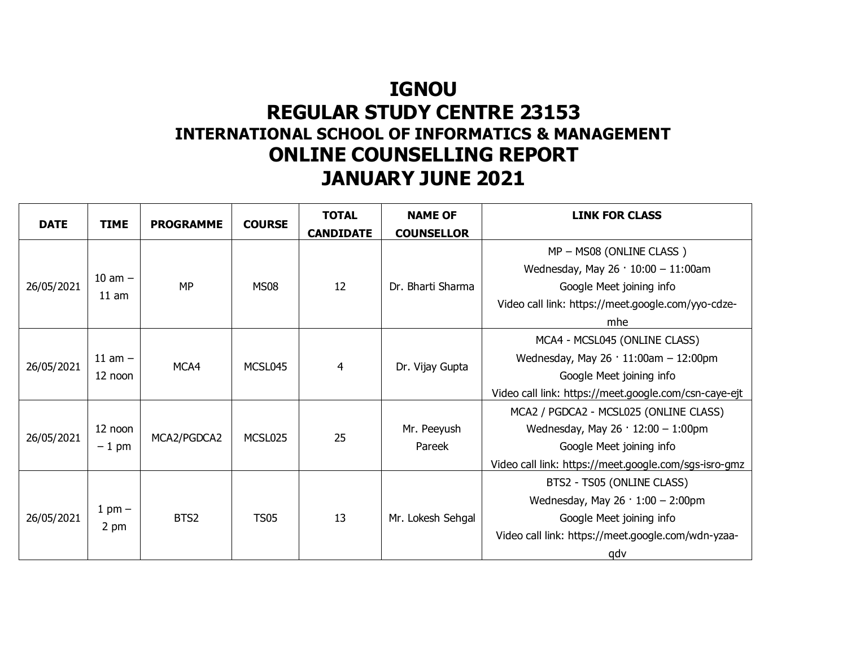## **IGNOU REGULAR STUDY CENTRE 23153 INTERNATIONAL SCHOOL OF INFORMATICS & MANAGEMENT ONLINE COUNSELLING REPORT JANUARY JUNE 2021**

| <b>DATE</b> | <b>TIME</b>            | <b>PROGRAMME</b> | <b>COURSE</b> | <b>TOTAL</b><br><b>CANDIDATE</b> | <b>NAME OF</b><br><b>COUNSELLOR</b> | <b>LINK FOR CLASS</b>                                 |
|-------------|------------------------|------------------|---------------|----------------------------------|-------------------------------------|-------------------------------------------------------|
|             |                        |                  |               |                                  |                                     | MP - MS08 (ONLINE CLASS)                              |
| 26/05/2021  | $10$ am $-$<br>$11$ am | <b>MP</b>        | <b>MS08</b>   | 12                               | Dr. Bharti Sharma                   | Wednesday, May $26 \cdot 10:00 - 11:00$ am            |
|             |                        |                  |               |                                  |                                     | Google Meet joining info                              |
|             |                        |                  |               |                                  |                                     | Video call link: https://meet.google.com/yyo-cdze-    |
|             |                        |                  |               |                                  |                                     | mhe                                                   |
|             |                        |                  |               |                                  |                                     | MCA4 - MCSL045 (ONLINE CLASS)                         |
| 26/05/2021  | $11$ am $-$<br>12 noon | MCA4             | MCSL045       | 4                                | Dr. Vijay Gupta                     | Wednesday, May $26 \cdot 11:00$ am - 12:00pm          |
|             |                        |                  |               |                                  |                                     | Google Meet joining info                              |
|             |                        |                  |               |                                  |                                     | Video call link: https://meet.google.com/csn-caye-ejt |
|             |                        |                  |               |                                  |                                     | MCA2 / PGDCA2 - MCSL025 (ONLINE CLASS)                |
| 26/05/2021  | 12 noon<br>$-1$ pm     | MCA2/PGDCA2      | MCSL025       | 25                               | Mr. Peeyush                         | Wednesday, May $26 \cdot 12:00 - 1:00$ pm             |
|             |                        |                  |               |                                  | Pareek                              | Google Meet joining info                              |
|             |                        |                  |               |                                  |                                     | Video call link: https://meet.google.com/sgs-isro-gmz |
| 26/05/2021  | 1 pm $-$<br>2 pm       | BTS2             | <b>TS05</b>   | 13                               | Mr. Lokesh Sehgal                   | BTS2 - TS05 (ONLINE CLASS)                            |
|             |                        |                  |               |                                  |                                     | Wednesday, May $26 \cdot 1:00 - 2:00 \text{pm}$       |
|             |                        |                  |               |                                  |                                     | Google Meet joining info                              |
|             |                        |                  |               |                                  |                                     | Video call link: https://meet.google.com/wdn-yzaa-    |
|             |                        |                  |               |                                  |                                     | qdv                                                   |